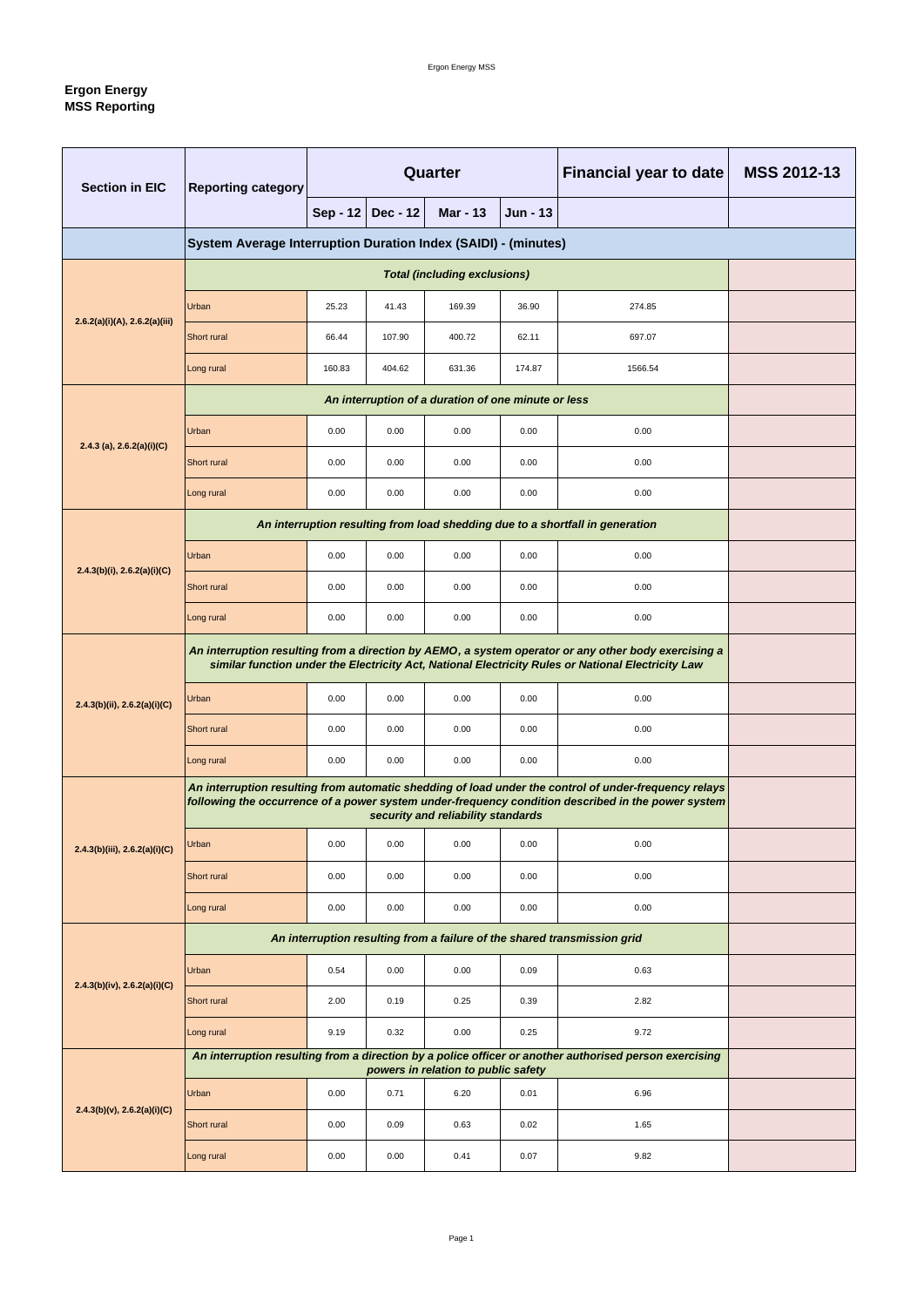# **Ergon Energy MSS Reporting**

| <b>Section in EIC</b>               | <b>Reporting category</b>                                                                                                                                                                                   | <b>Quarter</b>  |                 |                                     |                 | <b>Financial year to date</b>                                                                          | <b>MSS 2012-13</b> |  |  |  |
|-------------------------------------|-------------------------------------------------------------------------------------------------------------------------------------------------------------------------------------------------------------|-----------------|-----------------|-------------------------------------|-----------------|--------------------------------------------------------------------------------------------------------|--------------------|--|--|--|
|                                     |                                                                                                                                                                                                             | <b>Sep - 12</b> | <b>Dec - 12</b> | <b>Mar - 13</b>                     | <b>Jun - 13</b> |                                                                                                        |                    |  |  |  |
|                                     | System Average Interruption Duration Index (SAIDI) - (minutes)                                                                                                                                              |                 |                 |                                     |                 |                                                                                                        |                    |  |  |  |
|                                     |                                                                                                                                                                                                             |                 |                 | <b>Total (including exclusions)</b> |                 |                                                                                                        |                    |  |  |  |
| 2.6.2(a)(i)(A), 2.6.2(a)(iii)       | Urban                                                                                                                                                                                                       | 25.23           | 41.43           | 169.39                              | 36.90           | 274.85                                                                                                 |                    |  |  |  |
|                                     | <b>Short rural</b>                                                                                                                                                                                          | 66.44           | 107.90          | 400.72                              | 62.11           | 697.07                                                                                                 |                    |  |  |  |
|                                     | Long rural                                                                                                                                                                                                  | 160.83          | 404.62          | 631.36                              | 174.87          | 1566.54                                                                                                |                    |  |  |  |
|                                     |                                                                                                                                                                                                             |                 |                 |                                     |                 |                                                                                                        |                    |  |  |  |
| 2.4.3 (a), $2.6.2(a)(i)(C)$         | Urban                                                                                                                                                                                                       | 0.00            | 0.00            | 0.00                                | 0.00            | 0.00                                                                                                   |                    |  |  |  |
|                                     | <b>Short rural</b>                                                                                                                                                                                          | 0.00            | 0.00            | 0.00                                | 0.00            | 0.00                                                                                                   |                    |  |  |  |
|                                     | Long rural                                                                                                                                                                                                  | 0.00            | 0.00            | 0.00                                | 0.00            | 0.00                                                                                                   |                    |  |  |  |
|                                     |                                                                                                                                                                                                             |                 |                 |                                     |                 | An interruption resulting from load shedding due to a shortfall in generation                          |                    |  |  |  |
| $2.4.3(b)(i)$ , $2.6.2(a)(i)(C)$    | Urban                                                                                                                                                                                                       | 0.00            | 0.00            | 0.00                                | 0.00            | 0.00                                                                                                   |                    |  |  |  |
|                                     | <b>Short rural</b>                                                                                                                                                                                          | 0.00            | 0.00            | 0.00                                | 0.00            | 0.00                                                                                                   |                    |  |  |  |
|                                     | Long rural                                                                                                                                                                                                  | 0.00            | 0.00            | 0.00                                | 0.00            | 0.00                                                                                                   |                    |  |  |  |
|                                     | An interruption resulting from a direction by AEMO, a system operator or any other body exercising a<br>similar function under the Electricity Act, National Electricity Rules or National Electricity Law  |                 |                 |                                     |                 |                                                                                                        |                    |  |  |  |
| 2.4.3(b)(ii), 2.6.2(a)(i)(C)        | Urban                                                                                                                                                                                                       | 0.00            | 0.00            | 0.00                                | 0.00            | 0.00                                                                                                   |                    |  |  |  |
|                                     | <b>Short rural</b>                                                                                                                                                                                          | 0.00            | 0.00            | 0.00                                | 0.00            | 0.00                                                                                                   |                    |  |  |  |
|                                     | Long rural                                                                                                                                                                                                  | 0.00            | 0.00            | 0.00                                | 0.00            | 0.00                                                                                                   |                    |  |  |  |
|                                     | An interruption resulting from automatic shedding of load under the control of under-frequency relays<br>following the occurrence of a power system under-frequency condition described in the power system |                 |                 |                                     |                 |                                                                                                        |                    |  |  |  |
| $2.4.3(b)$ (iii), $2.6.2(a)$ (i)(C) | Urban                                                                                                                                                                                                       | 0.00            | 0.00            | 0.00                                | 0.00            | 0.00                                                                                                   |                    |  |  |  |
|                                     | Short rural                                                                                                                                                                                                 | 0.00            | 0.00            | 0.00                                | 0.00            | 0.00                                                                                                   |                    |  |  |  |
|                                     | Long rural                                                                                                                                                                                                  | 0.00            | 0.00            | 0.00                                | 0.00            | 0.00                                                                                                   |                    |  |  |  |
|                                     | An interruption resulting from a failure of the shared transmission grid                                                                                                                                    |                 |                 |                                     |                 |                                                                                                        |                    |  |  |  |
|                                     | <b>Urban</b>                                                                                                                                                                                                | 0.54            | 0.00            | 0.00                                | 0.09            | 0.63                                                                                                   |                    |  |  |  |
| $2.4.3(b)(iv)$ , $2.6.2(a)(i)(C)$   | <b>Short rural</b>                                                                                                                                                                                          | 2.00            | 0.19            | 0.25                                | 0.39            | 2.82                                                                                                   |                    |  |  |  |
|                                     | Long rural                                                                                                                                                                                                  | 9.19            | 0.32            | 0.00                                | 0.25            | 9.72                                                                                                   |                    |  |  |  |
|                                     |                                                                                                                                                                                                             |                 |                 | powers in relation to public safety |                 | An interruption resulting from a direction by a police officer or another authorised person exercising |                    |  |  |  |
|                                     | <b>Urban</b>                                                                                                                                                                                                | 0.00            | 0.71            | 6.20                                | 0.01            | 6.96                                                                                                   |                    |  |  |  |
| 2.4.3(b)(v), 2.6.2(a)(i)(C)         | Short rural                                                                                                                                                                                                 | 0.00            | 0.09            | 0.63                                | 0.02            | 1.65                                                                                                   |                    |  |  |  |
|                                     | Long rural                                                                                                                                                                                                  | 0.00            | 0.00            | 0.41                                | 0.07            | 9.82                                                                                                   |                    |  |  |  |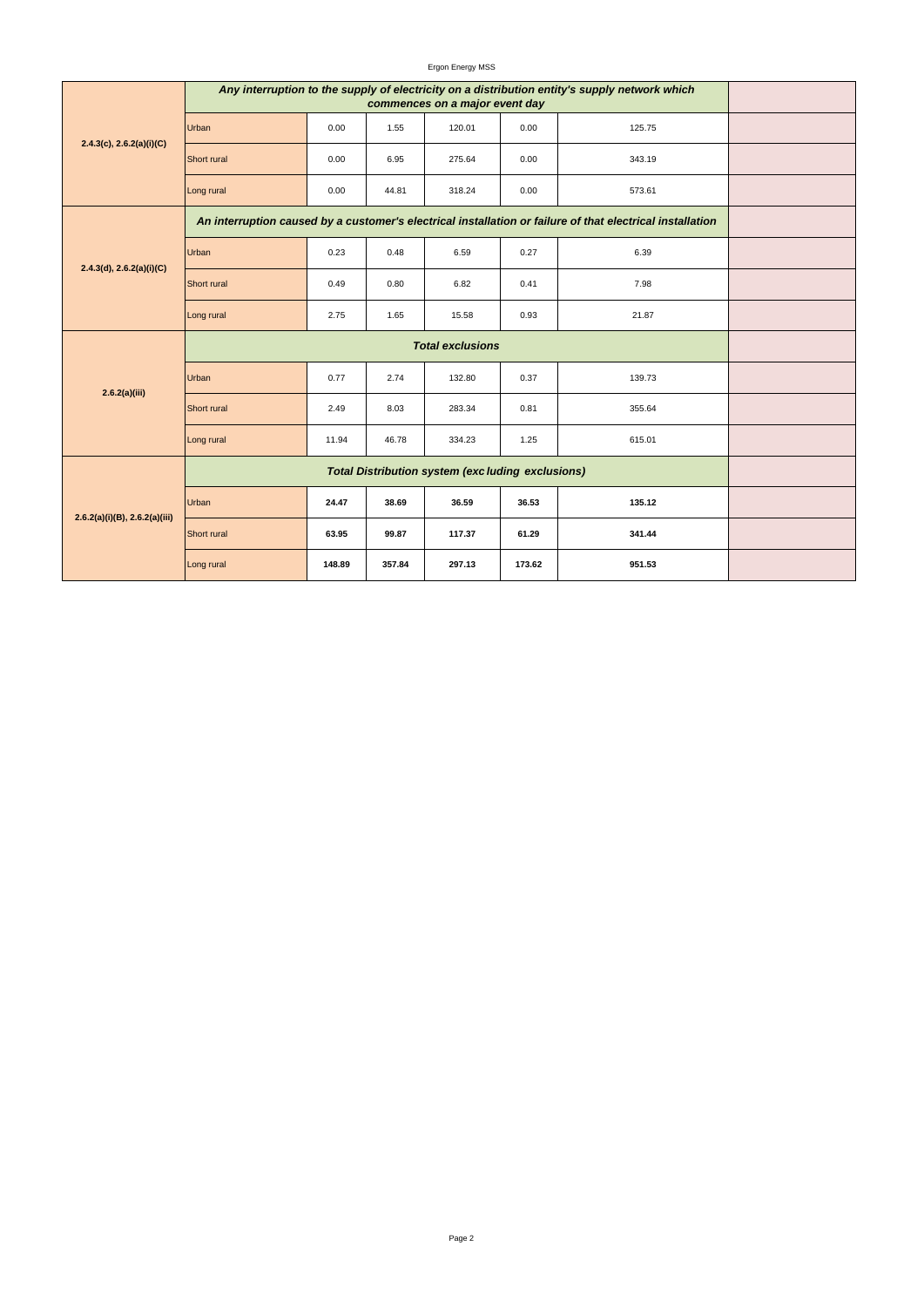#### Ergon Energy MSS

| $2.4.3(c)$ , $2.6.2(a)(i)(C)$ | Any interruption to the supply of electricity on a distribution entity's supply network which             |        |        |                                                         |        |        |  |
|-------------------------------|-----------------------------------------------------------------------------------------------------------|--------|--------|---------------------------------------------------------|--------|--------|--|
|                               | <b>Urban</b>                                                                                              | 0.00   | 1.55   | 120.01                                                  | 0.00   | 125.75 |  |
|                               | <b>Short rural</b>                                                                                        | 0.00   | 6.95   | 275.64                                                  | 0.00   | 343.19 |  |
|                               | Long rural                                                                                                | 0.00   | 44.81  | 318.24                                                  | 0.00   | 573.61 |  |
|                               | An interruption caused by a customer's electrical installation or failure of that electrical installation |        |        |                                                         |        |        |  |
|                               | <b>Urban</b>                                                                                              | 0.23   | 0.48   | 6.59                                                    | 0.27   | 6.39   |  |
| 2.4.3(d), 2.6.2(a)(i)(C)      | <b>Short rural</b>                                                                                        | 0.49   | 0.80   | 6.82                                                    | 0.41   | 7.98   |  |
|                               | Long rural                                                                                                | 2.75   | 1.65   | 15.58                                                   | 0.93   | 21.87  |  |
|                               |                                                                                                           |        |        |                                                         |        |        |  |
| 2.6.2(a)(iii)                 | <b>Urban</b>                                                                                              | 0.77   | 2.74   | 132.80                                                  | 0.37   | 139.73 |  |
|                               | Short rural                                                                                               | 2.49   | 8.03   | 283.34                                                  | 0.81   | 355.64 |  |
|                               | Long rural                                                                                                | 11.94  | 46.78  | 334.23                                                  | 1.25   | 615.01 |  |
| 2.6.2(a)(i)(B), 2.6.2(a)(iii) |                                                                                                           |        |        | <b>Total Distribution system (excluding exclusions)</b> |        |        |  |
|                               | <b>Urban</b>                                                                                              | 24.47  | 38.69  | 36.59                                                   | 36.53  | 135.12 |  |
|                               | Short rural                                                                                               | 63.95  | 99.87  | 117.37                                                  | 61.29  | 341.44 |  |
|                               | Long rural                                                                                                | 148.89 | 357.84 | 297.13                                                  | 173.62 | 951.53 |  |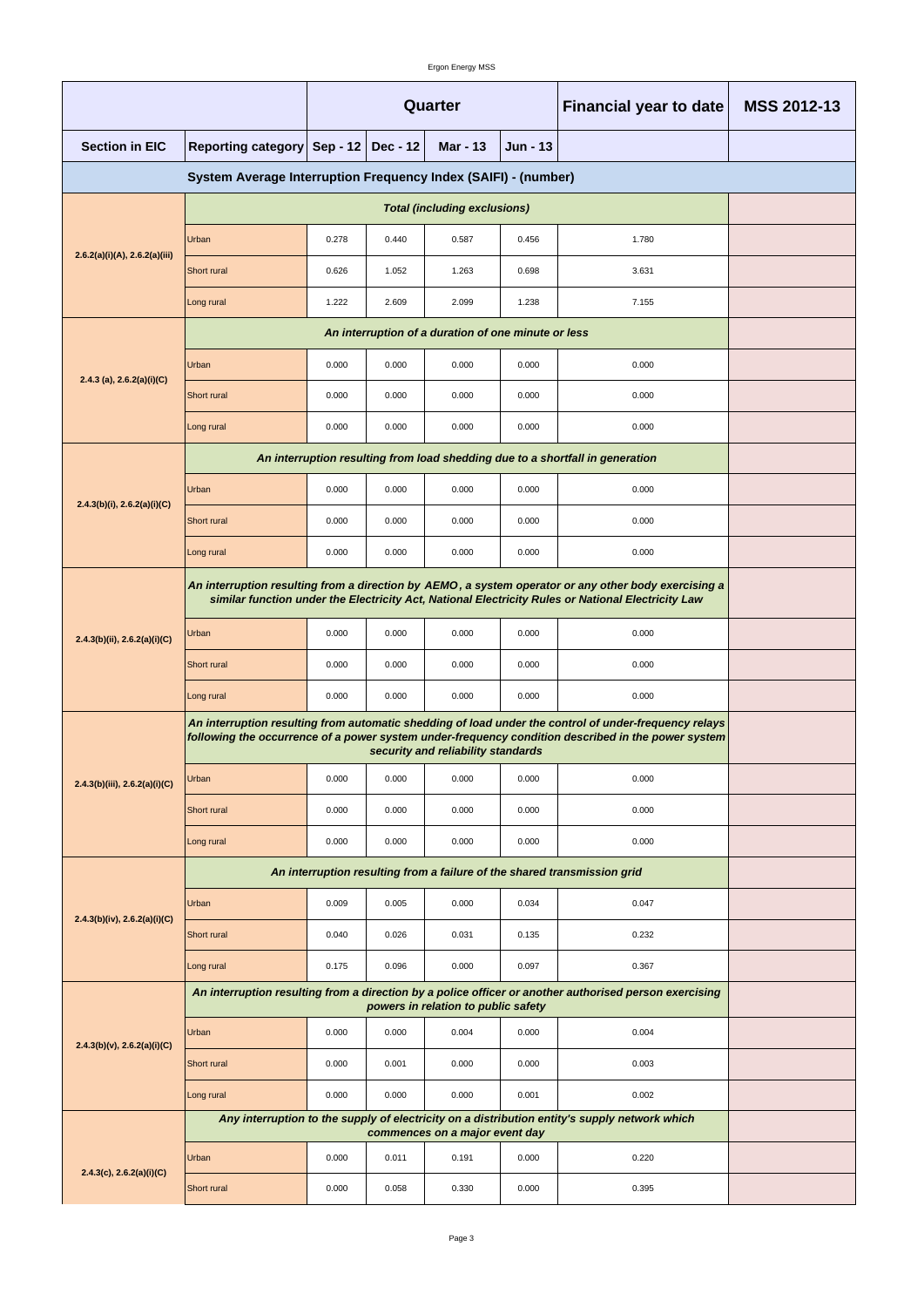Ergon Energy MSS

|                                                                |                                                                                                                                                                                                                                                   | <b>Quarter</b>                                                           |       |                                     |       | <b>Financial year to date</b>                                                                          | <b>MSS 2012-13</b> |  |  |
|----------------------------------------------------------------|---------------------------------------------------------------------------------------------------------------------------------------------------------------------------------------------------------------------------------------------------|--------------------------------------------------------------------------|-------|-------------------------------------|-------|--------------------------------------------------------------------------------------------------------|--------------------|--|--|
| <b>Section in EIC</b>                                          | <b>Reporting category</b>                                                                                                                                                                                                                         | <b>Sep - 12</b><br><b>Dec - 12</b><br><b>Mar - 13</b><br><b>Jun - 13</b> |       |                                     |       |                                                                                                        |                    |  |  |
| System Average Interruption Frequency Index (SAIFI) - (number) |                                                                                                                                                                                                                                                   |                                                                          |       |                                     |       |                                                                                                        |                    |  |  |
|                                                                |                                                                                                                                                                                                                                                   |                                                                          |       |                                     |       |                                                                                                        |                    |  |  |
| 2.6.2(a)(i)(A), 2.6.2(a)(iii)                                  | Urban                                                                                                                                                                                                                                             | 0.278                                                                    | 0.440 | 0.587                               | 0.456 | 1.780                                                                                                  |                    |  |  |
|                                                                | Short rural                                                                                                                                                                                                                                       | 0.626                                                                    | 1.052 | 1.263                               | 0.698 | 3.631                                                                                                  |                    |  |  |
|                                                                | Long rural                                                                                                                                                                                                                                        | 1.222                                                                    | 2.609 | 2.099                               | 1.238 | 7.155                                                                                                  |                    |  |  |
|                                                                |                                                                                                                                                                                                                                                   |                                                                          |       |                                     |       |                                                                                                        |                    |  |  |
|                                                                | Urban                                                                                                                                                                                                                                             | 0.000                                                                    | 0.000 | 0.000                               | 0.000 | 0.000                                                                                                  |                    |  |  |
| 2.4.3 (a), $2.6.2(a)(i)(C)$                                    | <b>Short rural</b>                                                                                                                                                                                                                                | 0.000                                                                    | 0.000 | 0.000                               | 0.000 | 0.000                                                                                                  |                    |  |  |
|                                                                | Long rural                                                                                                                                                                                                                                        | 0.000                                                                    | 0.000 | 0.000                               | 0.000 | 0.000                                                                                                  |                    |  |  |
|                                                                |                                                                                                                                                                                                                                                   |                                                                          |       |                                     |       | An interruption resulting from load shedding due to a shortfall in generation                          |                    |  |  |
|                                                                | Urban                                                                                                                                                                                                                                             | 0.000                                                                    | 0.000 | 0.000                               | 0.000 | 0.000                                                                                                  |                    |  |  |
| 2.4.3(b)(i), 2.6.2(a)(i)(C)                                    | <b>Short rural</b>                                                                                                                                                                                                                                | 0.000                                                                    | 0.000 | 0.000                               | 0.000 | 0.000                                                                                                  |                    |  |  |
|                                                                | Long rural                                                                                                                                                                                                                                        | 0.000                                                                    | 0.000 | 0.000                               | 0.000 | 0.000                                                                                                  |                    |  |  |
| 2.4.3(b)(ii), 2.6.2(a)(i)(C)                                   | An interruption resulting from a direction by AEMO, a system operator or any other body exercising a<br>similar function under the Electricity Act, National Electricity Rules or National Electricity Law                                        |                                                                          |       |                                     |       |                                                                                                        |                    |  |  |
|                                                                | Urban                                                                                                                                                                                                                                             | 0.000                                                                    | 0.000 | 0.000                               | 0.000 | 0.000                                                                                                  |                    |  |  |
|                                                                | <b>Short rural</b>                                                                                                                                                                                                                                | 0.000                                                                    | 0.000 | 0.000                               | 0.000 | 0.000                                                                                                  |                    |  |  |
|                                                                | Long rural                                                                                                                                                                                                                                        | 0.000                                                                    | 0.000 | 0.000                               | 0.000 | 0.000                                                                                                  |                    |  |  |
|                                                                | An interruption resulting from automatic shedding of load under the control of under-frequency relays<br>following the occurrence of a power system under-frequency condition described in the power system<br>security and reliability standards |                                                                          |       |                                     |       |                                                                                                        |                    |  |  |
| 2.4.3(b)(iii), 2.6.2(a)(i)(C)                                  | Urban                                                                                                                                                                                                                                             | 0.000                                                                    | 0.000 | 0.000                               | 0.000 | 0.000                                                                                                  |                    |  |  |
|                                                                | <b>Short rural</b>                                                                                                                                                                                                                                | 0.000                                                                    | 0.000 | 0.000                               | 0.000 | 0.000                                                                                                  |                    |  |  |
|                                                                | Long rural                                                                                                                                                                                                                                        | 0.000                                                                    | 0.000 | 0.000                               | 0.000 | 0.000                                                                                                  |                    |  |  |
|                                                                | An interruption resulting from a failure of the shared transmission grid                                                                                                                                                                          |                                                                          |       |                                     |       |                                                                                                        |                    |  |  |
|                                                                | Urban                                                                                                                                                                                                                                             | 0.009                                                                    | 0.005 | 0.000                               | 0.034 | 0.047                                                                                                  |                    |  |  |
| $2.4.3(b)(iv)$ , $2.6.2(a)(i)(C)$                              | Short rural                                                                                                                                                                                                                                       | 0.040                                                                    | 0.026 | 0.031                               | 0.135 | 0.232                                                                                                  |                    |  |  |
|                                                                | Long rural                                                                                                                                                                                                                                        | 0.175                                                                    | 0.096 | 0.000                               | 0.097 | 0.367                                                                                                  |                    |  |  |
|                                                                |                                                                                                                                                                                                                                                   |                                                                          |       | powers in relation to public safety |       | An interruption resulting from a direction by a police officer or another authorised person exercising |                    |  |  |
|                                                                | Urban                                                                                                                                                                                                                                             | 0.000                                                                    | 0.000 | 0.004                               | 0.000 | 0.004                                                                                                  |                    |  |  |
| $2.4.3(b)(v)$ , $2.6.2(a)(i)(C)$                               | Short rural                                                                                                                                                                                                                                       | 0.000                                                                    | 0.001 | 0.000                               | 0.000 | 0.003                                                                                                  |                    |  |  |
|                                                                | Long rural                                                                                                                                                                                                                                        | 0.000                                                                    | 0.000 | 0.000                               | 0.001 | 0.002                                                                                                  |                    |  |  |
|                                                                |                                                                                                                                                                                                                                                   |                                                                          |       | commences on a major event day      |       | Any interruption to the supply of electricity on a distribution entity's supply network which          |                    |  |  |
|                                                                | Urban                                                                                                                                                                                                                                             | 0.000                                                                    | 0.011 | 0.191                               | 0.000 | 0.220                                                                                                  |                    |  |  |
| $2.4.3(c)$ , $2.6.2(a)(i)(C)$                                  | Short rural                                                                                                                                                                                                                                       | 0.000                                                                    | 0.058 | 0.330                               | 0.000 | 0.395                                                                                                  |                    |  |  |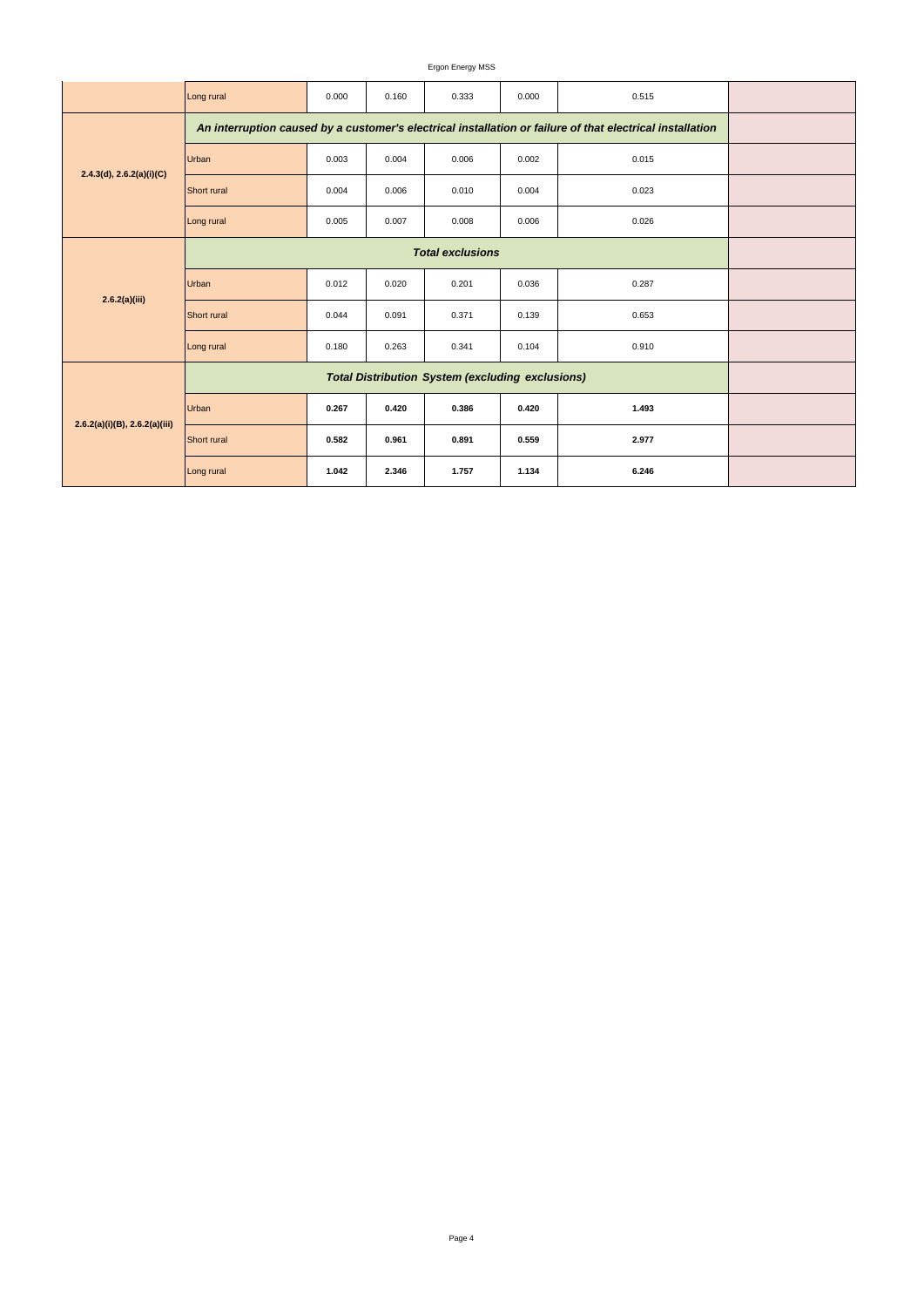## Ergon Energy MSS

|                                    | Long rural                                                                                                | 0.000 | 0.160 | 0.333 | 0.000 | 0.515 |  |  |
|------------------------------------|-----------------------------------------------------------------------------------------------------------|-------|-------|-------|-------|-------|--|--|
| 2.4.3(d), 2.6.2(a)(i)(C)           | An interruption caused by a customer's electrical installation or failure of that electrical installation |       |       |       |       |       |  |  |
|                                    | Urban                                                                                                     | 0.003 | 0.004 | 0.006 | 0.002 | 0.015 |  |  |
|                                    | <b>Short</b> rural                                                                                        | 0.004 | 0.006 | 0.010 | 0.004 | 0.023 |  |  |
|                                    | Long rural                                                                                                | 0.005 | 0.007 | 0.008 | 0.006 | 0.026 |  |  |
|                                    |                                                                                                           |       |       |       |       |       |  |  |
|                                    | Urban                                                                                                     | 0.012 | 0.020 | 0.201 | 0.036 | 0.287 |  |  |
| 2.6.2(a)(iii)                      | <b>Short</b> rural                                                                                        | 0.044 | 0.091 | 0.371 | 0.139 | 0.653 |  |  |
|                                    | Long rural                                                                                                | 0.180 | 0.263 | 0.341 | 0.104 | 0.910 |  |  |
| $2.6.2(a)(i)(B)$ , $2.6.2(a)(iii)$ |                                                                                                           |       |       |       |       |       |  |  |
|                                    | Urban                                                                                                     | 0.267 | 0.420 | 0.386 | 0.420 | 1.493 |  |  |
|                                    | Short rural                                                                                               | 0.582 | 0.961 | 0.891 | 0.559 | 2.977 |  |  |
|                                    | Long rural                                                                                                | 1.042 | 2.346 | 1.757 | 1.134 | 6.246 |  |  |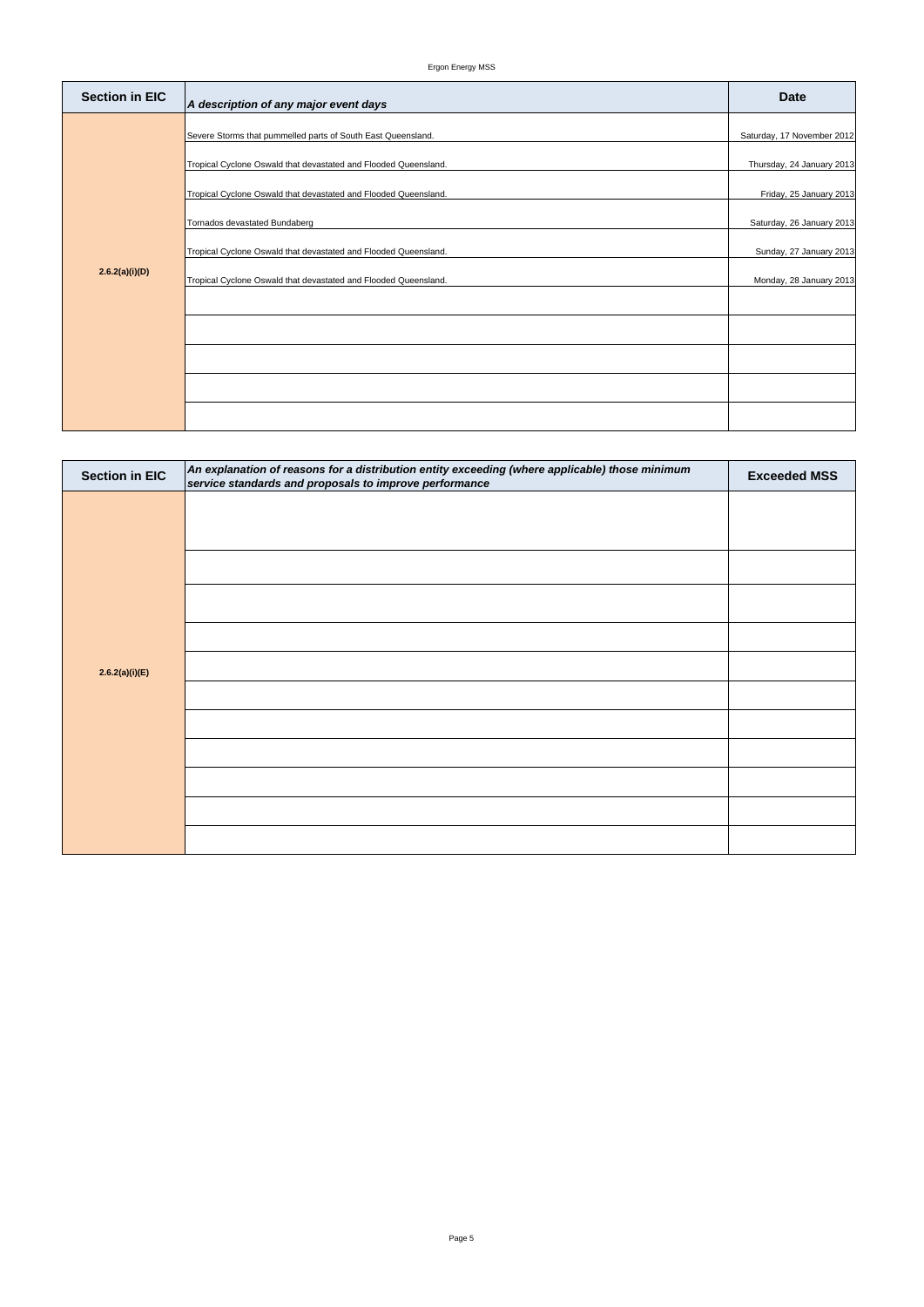| <b>Section in EIC</b> | An explanation of reasons for a distribution entity exceeding (where applicable) those minimum<br>service standards and proposals to improve performance | <b>Exceeded MSS</b> |
|-----------------------|----------------------------------------------------------------------------------------------------------------------------------------------------------|---------------------|
|                       |                                                                                                                                                          |                     |
|                       |                                                                                                                                                          |                     |
|                       |                                                                                                                                                          |                     |
|                       |                                                                                                                                                          |                     |
|                       |                                                                                                                                                          |                     |
| 2.6.2(a)(i)(E)        |                                                                                                                                                          |                     |
|                       |                                                                                                                                                          |                     |
|                       |                                                                                                                                                          |                     |
|                       |                                                                                                                                                          |                     |
|                       |                                                                                                                                                          |                     |
|                       |                                                                                                                                                          |                     |
|                       |                                                                                                                                                          |                     |

| <b>Section in EIC</b> | A description of any major event days                                                                                                                                                                                                                                                                                                                                     | <b>Date</b>                                                                                                                                                           |
|-----------------------|---------------------------------------------------------------------------------------------------------------------------------------------------------------------------------------------------------------------------------------------------------------------------------------------------------------------------------------------------------------------------|-----------------------------------------------------------------------------------------------------------------------------------------------------------------------|
| 2.6.2(a)(i)(D)        | Severe Storms that pummelled parts of South East Queensland.<br>Tropical Cyclone Oswald that devastated and Flooded Queensland.<br>Tropical Cyclone Oswald that devastated and Flooded Queensland.<br>Tornados devastated Bundaberg<br>Tropical Cyclone Oswald that devastated and Flooded Queensland.<br>Tropical Cyclone Oswald that devastated and Flooded Queensland. | Saturday, 17 November 2012<br>Thursday, 24 January 2013<br>Friday, 25 January 2013<br>Saturday, 26 January 2013<br>Sunday, 27 January 2013<br>Monday, 28 January 2013 |
|                       |                                                                                                                                                                                                                                                                                                                                                                           |                                                                                                                                                                       |